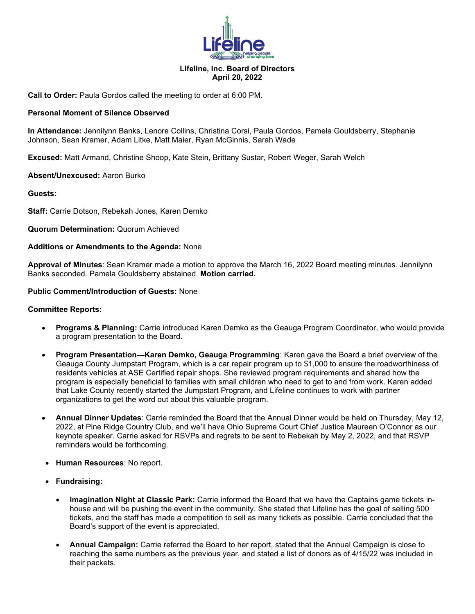

## **Lifeline, Inc. Board of Directors April 20, 2022**

**Call to Order:** Paula Gordos called the meeting to order at 6:00 PM.

## **Personal Moment of Silence Observed**

**In Attendance:** Jennilynn Banks, Lenore Collins, Christina Corsi, Paula Gordos, Pamela Gouldsberry, Stephanie Johnson, Sean Kramer, Adam Litke, Matt Maier, Ryan McGinnis, Sarah Wade

**Excused:** Matt Armand, Christine Shoop, Kate Stein, Brittany Sustar, Robert Weger, Sarah Welch

### **Absent/Unexcused:** Aaron Burko

**Guests:**

**Staff:** Carrie Dotson, Rebekah Jones, Karen Demko

### **Quorum Determination:** Quorum Achieved

### **Additions or Amendments to the Agenda:** None

**Approval of Minutes**: Sean Kramer made a motion to approve the March 16, 2022 Board meeting minutes. Jennilynn Banks seconded. Pamela Gouldsberry abstained. **Motion carried.**

#### **Public Comment/Introduction of Guests:** None

#### **Committee Reports:**

- **Programs & Planning:** Carrie introduced Karen Demko as the Geauga Program Coordinator, who would provide a program presentation to the Board.
- **Program Presentation—Karen Demko, Geauga Programming**: Karen gave the Board a brief overview of the Geauga County Jumpstart Program, which is a car repair program up to \$1,000 to ensure the roadworthiness of residents vehicles at ASE Certified repair shops. She reviewed program requirements and shared how the program is especially beneficial to families with small children who need to get to and from work. Karen added that Lake County recently started the Jumpstart Program, and Lifeline continues to work with partner organizations to get the word out about this valuable program.
- **Annual Dinner Updates**: Carrie reminded the Board that the Annual Dinner would be held on Thursday, May 12, 2022, at Pine Ridge Country Club, and we'll have Ohio Supreme Court Chief Justice Maureen O'Connor as our keynote speaker. Carrie asked for RSVPs and regrets to be sent to Rebekah by May 2, 2022, and that RSVP reminders would be forthcoming.
- **Human Resources**: No report.
- **Fundraising:**
	- **Imagination Night at Classic Park:** Carrie informed the Board that we have the Captains game tickets inhouse and will be pushing the event in the community. She stated that Lifeline has the goal of selling 500 tickets, and the staff has made a competition to sell as many tickets as possible. Carrie concluded that the Board's support of the event is appreciated.
	- **Annual Campaign:** Carrie referred the Board to her report, stated that the Annual Campaign is close to reaching the same numbers as the previous year, and stated a list of donors as of 4/15/22 was included in their packets.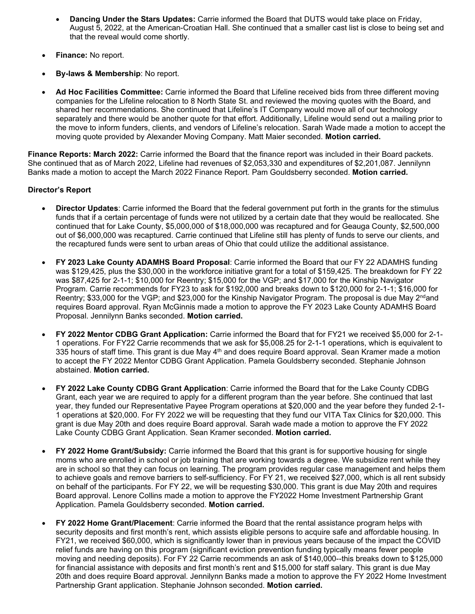- **Dancing Under the Stars Updates:** Carrie informed the Board that DUTS would take place on Friday, August 5, 2022, at the American-Croatian Hall. She continued that a smaller cast list is close to being set and that the reveal would come shortly.
- **Finance:** No report.
- **By-laws & Membership**: No report.
- **Ad Hoc Facilities Committee:** Carrie informed the Board that Lifeline received bids from three different moving companies for the Lifeline relocation to 8 North State St. and reviewed the moving quotes with the Board, and shared her recommendations. She continued that Lifeline's IT Company would move all of our technology separately and there would be another quote for that effort. Additionally, Lifeline would send out a mailing prior to the move to inform funders, clients, and vendors of Lifeline's relocation. Sarah Wade made a motion to accept the moving quote provided by Alexander Moving Company. Matt Maier seconded. **Motion carried.**

**Finance Reports: March 2022:** Carrie informed the Board that the finance report was included in their Board packets. She continued that as of March 2022, Lifeline had revenues of \$2,053,330 and expenditures of \$2,201,087. Jennilynn Banks made a motion to accept the March 2022 Finance Report. Pam Gouldsberry seconded. **Motion carried.** 

# **Director's Report**

- **Director Updates**: Carrie informed the Board that the federal government put forth in the grants for the stimulus funds that if a certain percentage of funds were not utilized by a certain date that they would be reallocated. She continued that for Lake County, \$5,000,000 of \$18,000,000 was recaptured and for Geauga County, \$2,500,000 out of \$6,000,000 was recaptured. Carrie continued that Lifeline still has plenty of funds to serve our clients, and the recaptured funds were sent to urban areas of Ohio that could utilize the additional assistance.
- **FY 2023 Lake County ADAMHS Board Proposal**: Carrie informed the Board that our FY 22 ADAMHS funding was \$129,425, plus the \$30,000 in the workforce initiative grant for a total of \$159,425. The breakdown for FY 22 was \$87,425 for 2-1-1; \$10,000 for Reentry; \$15,000 for the VGP; and \$17,000 for the Kinship Navigator Program. Carrie recommends for FY23 to ask for \$192,000 and breaks down to \$120,000 for 2-1-1; \$16,000 for Reentry; \$33,000 for the VGP; and \$23,000 for the Kinship Navigator Program. The proposal is due May 2<sup>nd</sup>and requires Board approval. Ryan McGinnis made a motion to approve the FY 2023 Lake County ADAMHS Board Proposal. Jennilynn Banks seconded. **Motion carried.**
- **FY 2022 Mentor CDBG Grant Application:** Carrie informed the Board that for FY21 we received \$5,000 for 2-1- 1 operations. For FY22 Carrie recommends that we ask for \$5,008.25 for 2-1-1 operations, which is equivalent to 335 hours of staff time. This grant is due May 4<sup>th</sup> and does require Board approval. Sean Kramer made a motion to accept the FY 2022 Mentor CDBG Grant Application. Pamela Gouldsberry seconded. Stephanie Johnson abstained. **Motion carried.**
- **FY 2022 Lake County CDBG Grant Application**: Carrie informed the Board that for the Lake County CDBG Grant, each year we are required to apply for a different program than the year before. She continued that last year, they funded our Representative Payee Program operations at \$20,000 and the year before they funded 2-1- 1 operations at \$20,000. For FY 2022 we will be requesting that they fund our VITA Tax Clinics for \$20,000. This grant is due May 20th and does require Board approval. Sarah wade made a motion to approve the FY 2022 Lake County CDBG Grant Application. Sean Kramer seconded. **Motion carried.**
- **FY 2022 Home Grant/Subsidy:** Carrie informed the Board that this grant is for supportive housing for single moms who are enrolled in school or job training that are working towards a degree. We subsidize rent while they are in school so that they can focus on learning. The program provides regular case management and helps them to achieve goals and remove barriers to self-sufficiency. For FY 21, we received \$27,000, which is all rent subsidy on behalf of the participants. For FY 22, we will be requesting \$30,000. This grant is due May 20th and requires Board approval. Lenore Collins made a motion to approve the FY2022 Home Investment Partnership Grant Application. Pamela Gouldsberry seconded. **Motion carried.**
- **FY 2022 Home Grant/Placement**: Carrie informed the Board that the rental assistance program helps with security deposits and first month's rent, which assists eligible persons to acquire safe and affordable housing. In FY21, we received \$60,000, which is significantly lower than in previous years because of the impact the COVID relief funds are having on this program (significant eviction prevention funding typically means fewer people moving and needing deposits). For FY 22 Carrie recommends an ask of \$140,000--this breaks down to \$125,000 for financial assistance with deposits and first month's rent and \$15,000 for staff salary. This grant is due May 20th and does require Board approval. Jennilynn Banks made a motion to approve the FY 2022 Home Investment Partnership Grant application. Stephanie Johnson seconded. **Motion carried.**